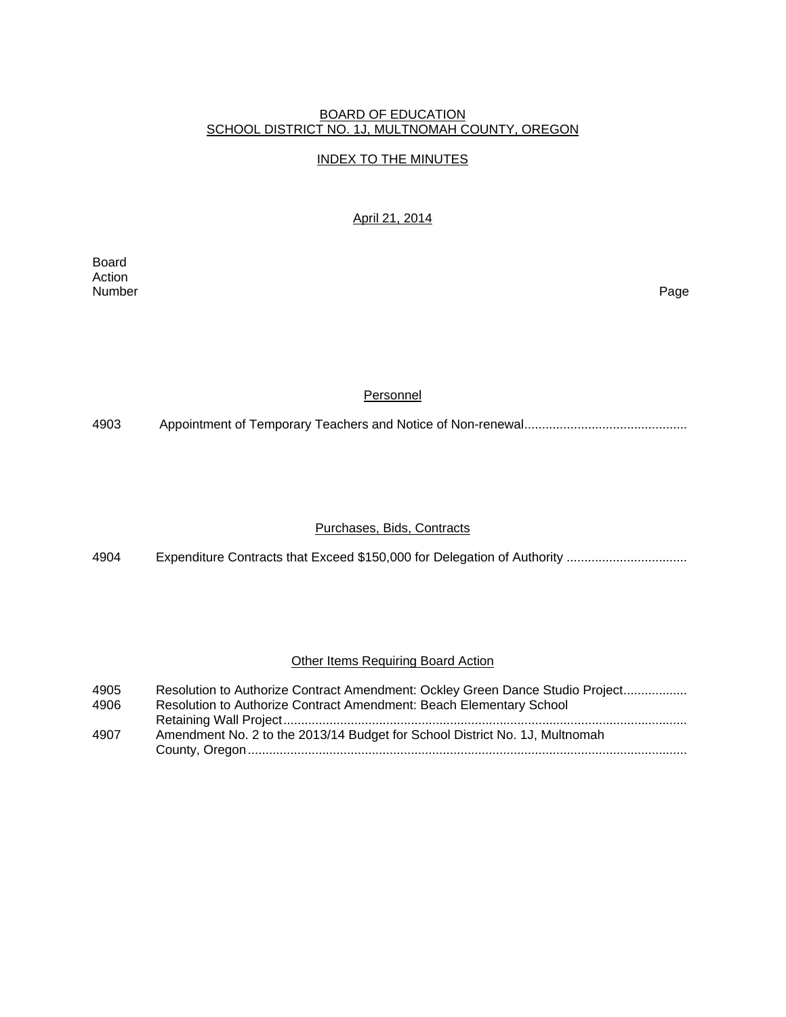### BOARD OF EDUCATION SCHOOL DISTRICT NO. 1J, MULTNOMAH COUNTY, OREGON

# INDEX TO THE MINUTES

# April 21, 2014

Board Action<br>Number Number Page

### **Personnel**

4903 Appointment of Temporary Teachers and Notice of Non-renewal ..............................................

# Purchases, Bids, Contracts

4904 Expenditure Contracts that Exceed \$150,000 for Delegation of Authority .................................

#### **Other Items Requiring Board Action**

| 4905 | Resolution to Authorize Contract Amendment: Ockley Green Dance Studio Project |
|------|-------------------------------------------------------------------------------|
| 4906 | Resolution to Authorize Contract Amendment: Beach Elementary School           |
|      |                                                                               |
| 4907 | Amendment No. 2 to the 2013/14 Budget for School District No. 1J, Multnomah   |
|      |                                                                               |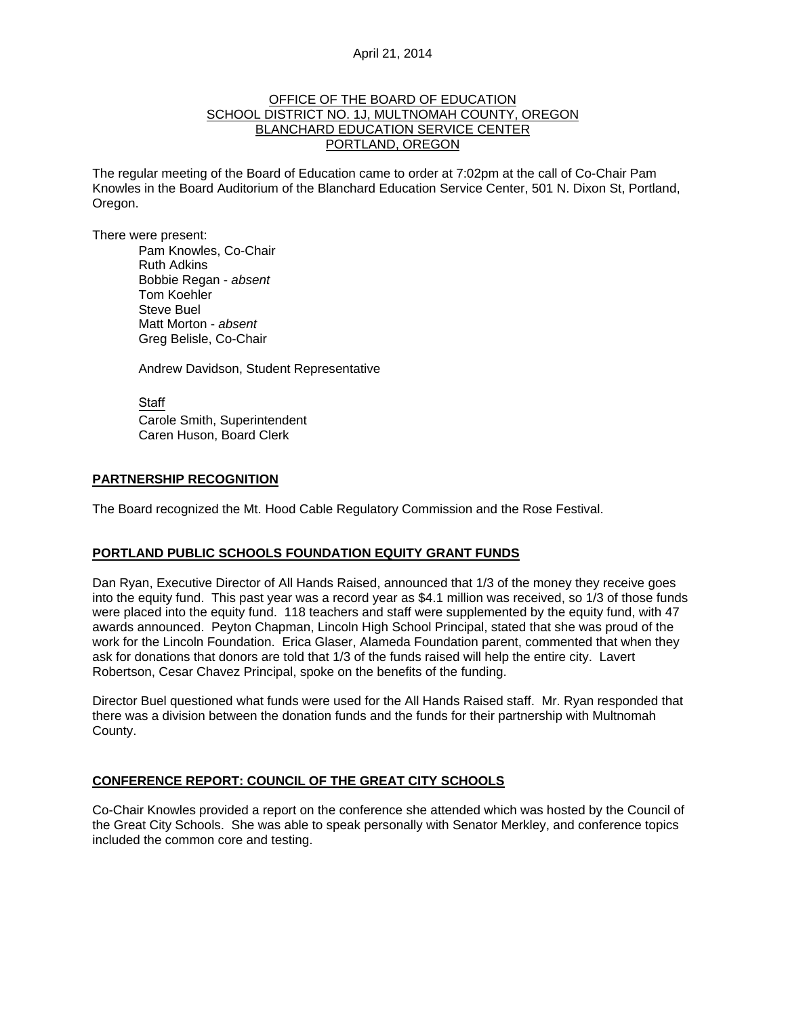#### OFFICE OF THE BOARD OF EDUCATION SCHOOL DISTRICT NO. 1J, MULTNOMAH COUNTY, OREGON BLANCHARD EDUCATION SERVICE CENTER PORTLAND, OREGON

The regular meeting of the Board of Education came to order at 7:02pm at the call of Co-Chair Pam Knowles in the Board Auditorium of the Blanchard Education Service Center, 501 N. Dixon St, Portland, Oregon.

There were present: Pam Knowles, Co-Chair

Ruth Adkins Bobbie Regan - *absent* Tom Koehler Steve Buel Matt Morton - *absent*  Greg Belisle, Co-Chair

Andrew Davidson, Student Representative

Staff Carole Smith, Superintendent Caren Huson, Board Clerk

### **PARTNERSHIP RECOGNITION**

The Board recognized the Mt. Hood Cable Regulatory Commission and the Rose Festival.

#### **PORTLAND PUBLIC SCHOOLS FOUNDATION EQUITY GRANT FUNDS**

Dan Ryan, Executive Director of All Hands Raised, announced that 1/3 of the money they receive goes into the equity fund. This past year was a record year as \$4.1 million was received, so 1/3 of those funds were placed into the equity fund. 118 teachers and staff were supplemented by the equity fund, with 47 awards announced. Peyton Chapman, Lincoln High School Principal, stated that she was proud of the work for the Lincoln Foundation. Erica Glaser, Alameda Foundation parent, commented that when they ask for donations that donors are told that 1/3 of the funds raised will help the entire city. Lavert Robertson, Cesar Chavez Principal, spoke on the benefits of the funding.

Director Buel questioned what funds were used for the All Hands Raised staff. Mr. Ryan responded that there was a division between the donation funds and the funds for their partnership with Multnomah County.

#### **CONFERENCE REPORT: COUNCIL OF THE GREAT CITY SCHOOLS**

Co-Chair Knowles provided a report on the conference she attended which was hosted by the Council of the Great City Schools. She was able to speak personally with Senator Merkley, and conference topics included the common core and testing.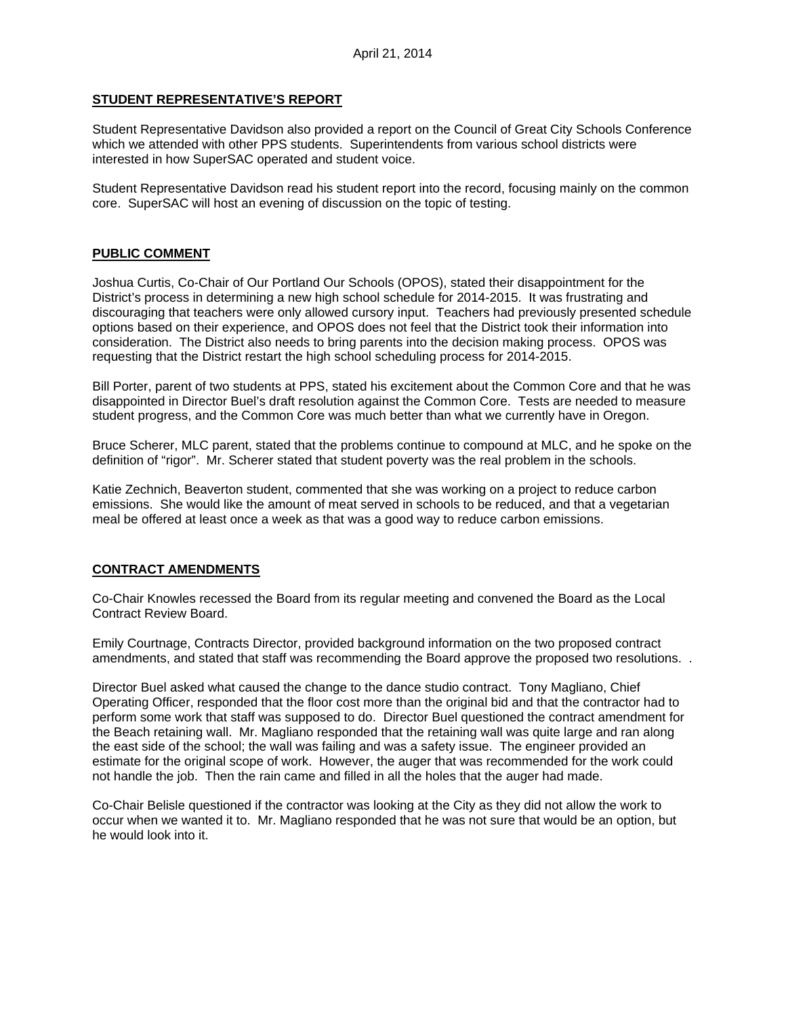# **STUDENT REPRESENTATIVE'S REPORT**

Student Representative Davidson also provided a report on the Council of Great City Schools Conference which we attended with other PPS students. Superintendents from various school districts were interested in how SuperSAC operated and student voice.

Student Representative Davidson read his student report into the record, focusing mainly on the common core. SuperSAC will host an evening of discussion on the topic of testing.

# **PUBLIC COMMENT**

Joshua Curtis, Co-Chair of Our Portland Our Schools (OPOS), stated their disappointment for the District's process in determining a new high school schedule for 2014-2015. It was frustrating and discouraging that teachers were only allowed cursory input. Teachers had previously presented schedule options based on their experience, and OPOS does not feel that the District took their information into consideration. The District also needs to bring parents into the decision making process. OPOS was requesting that the District restart the high school scheduling process for 2014-2015.

Bill Porter, parent of two students at PPS, stated his excitement about the Common Core and that he was disappointed in Director Buel's draft resolution against the Common Core. Tests are needed to measure student progress, and the Common Core was much better than what we currently have in Oregon.

Bruce Scherer, MLC parent, stated that the problems continue to compound at MLC, and he spoke on the definition of "rigor". Mr. Scherer stated that student poverty was the real problem in the schools.

Katie Zechnich, Beaverton student, commented that she was working on a project to reduce carbon emissions. She would like the amount of meat served in schools to be reduced, and that a vegetarian meal be offered at least once a week as that was a good way to reduce carbon emissions.

# **CONTRACT AMENDMENTS**

Co-Chair Knowles recessed the Board from its regular meeting and convened the Board as the Local Contract Review Board.

Emily Courtnage, Contracts Director, provided background information on the two proposed contract amendments, and stated that staff was recommending the Board approve the proposed two resolutions. .

Director Buel asked what caused the change to the dance studio contract. Tony Magliano, Chief Operating Officer, responded that the floor cost more than the original bid and that the contractor had to perform some work that staff was supposed to do. Director Buel questioned the contract amendment for the Beach retaining wall. Mr. Magliano responded that the retaining wall was quite large and ran along the east side of the school; the wall was failing and was a safety issue. The engineer provided an estimate for the original scope of work. However, the auger that was recommended for the work could not handle the job. Then the rain came and filled in all the holes that the auger had made.

Co-Chair Belisle questioned if the contractor was looking at the City as they did not allow the work to occur when we wanted it to. Mr. Magliano responded that he was not sure that would be an option, but he would look into it.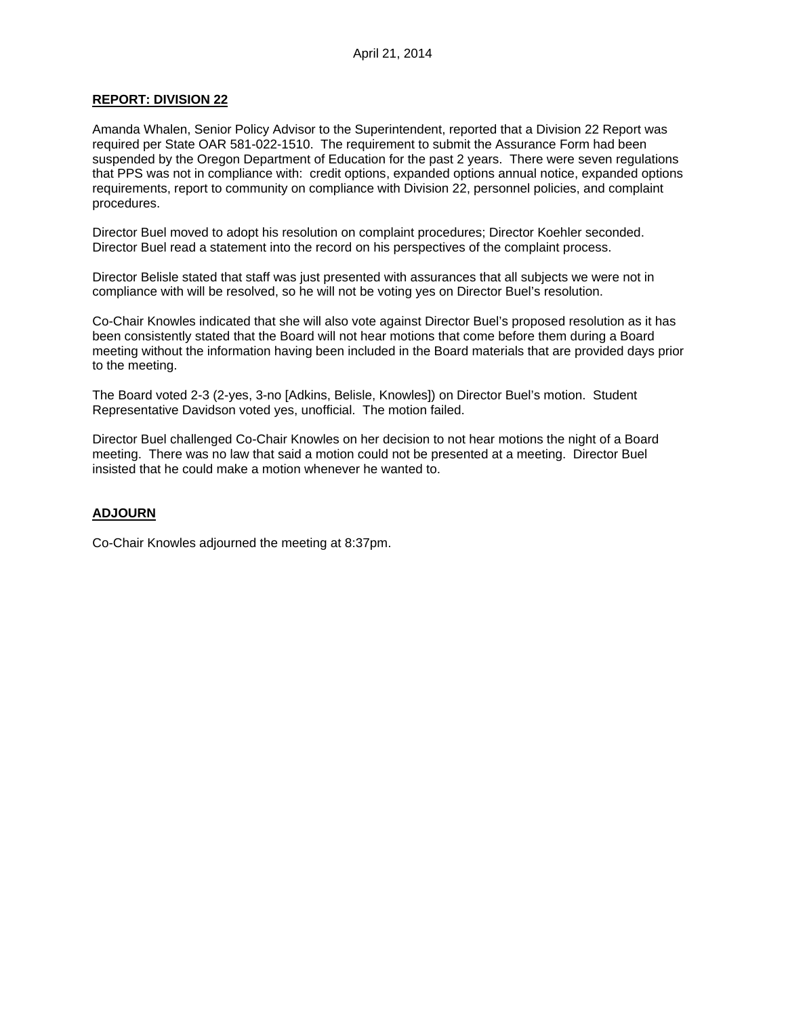### **REPORT: DIVISION 22**

Amanda Whalen, Senior Policy Advisor to the Superintendent, reported that a Division 22 Report was required per State OAR 581-022-1510. The requirement to submit the Assurance Form had been suspended by the Oregon Department of Education for the past 2 years. There were seven regulations that PPS was not in compliance with: credit options, expanded options annual notice, expanded options requirements, report to community on compliance with Division 22, personnel policies, and complaint procedures.

Director Buel moved to adopt his resolution on complaint procedures; Director Koehler seconded. Director Buel read a statement into the record on his perspectives of the complaint process.

Director Belisle stated that staff was just presented with assurances that all subjects we were not in compliance with will be resolved, so he will not be voting yes on Director Buel's resolution.

Co-Chair Knowles indicated that she will also vote against Director Buel's proposed resolution as it has been consistently stated that the Board will not hear motions that come before them during a Board meeting without the information having been included in the Board materials that are provided days prior to the meeting.

The Board voted 2-3 (2-yes, 3-no [Adkins, Belisle, Knowles]) on Director Buel's motion. Student Representative Davidson voted yes, unofficial. The motion failed.

Director Buel challenged Co-Chair Knowles on her decision to not hear motions the night of a Board meeting. There was no law that said a motion could not be presented at a meeting. Director Buel insisted that he could make a motion whenever he wanted to.

#### **ADJOURN**

Co-Chair Knowles adjourned the meeting at 8:37pm.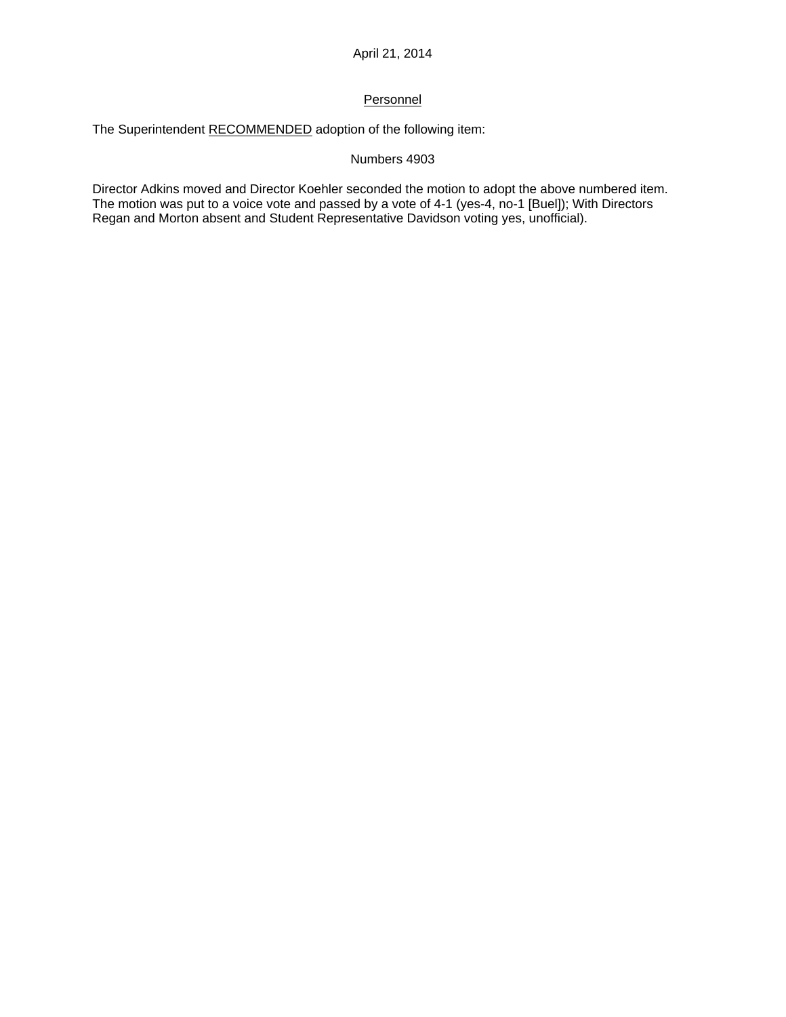# **Personnel**

The Superintendent RECOMMENDED adoption of the following item:

# Numbers 4903

Director Adkins moved and Director Koehler seconded the motion to adopt the above numbered item. The motion was put to a voice vote and passed by a vote of 4-1 (yes-4, no-1 [Buel]); With Directors Regan and Morton absent and Student Representative Davidson voting yes, unofficial).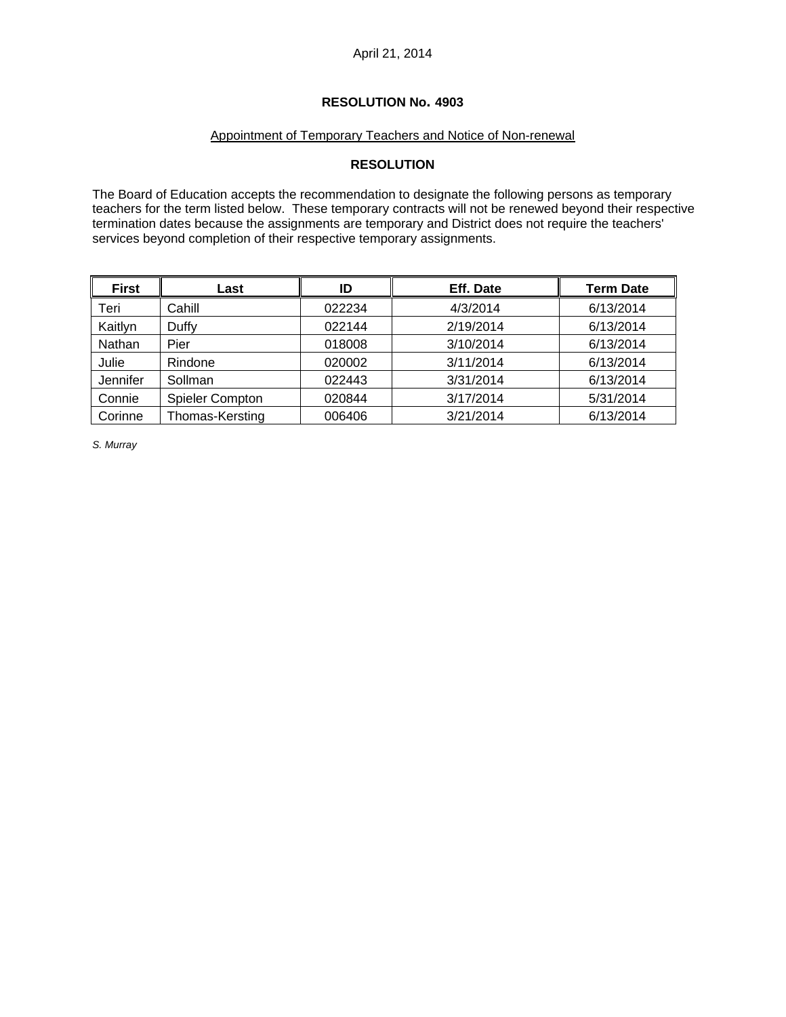# **RESOLUTION No. 4903**

# Appointment of Temporary Teachers and Notice of Non-renewal

# **RESOLUTION**

The Board of Education accepts the recommendation to designate the following persons as temporary teachers for the term listed below. These temporary contracts will not be renewed beyond their respective termination dates because the assignments are temporary and District does not require the teachers' services beyond completion of their respective temporary assignments.

| <b>First</b> | Last                   | ID     | Eff. Date | <b>Term Date</b> |
|--------------|------------------------|--------|-----------|------------------|
| Teri         | Cahill                 | 022234 | 4/3/2014  | 6/13/2014        |
| Kaitlyn      | Duffy                  | 022144 | 2/19/2014 | 6/13/2014        |
| Nathan       | Pier                   | 018008 | 3/10/2014 | 6/13/2014        |
| Julie        | Rindone                | 020002 | 3/11/2014 | 6/13/2014        |
| Jennifer     | Sollman                | 022443 | 3/31/2014 | 6/13/2014        |
| Connie       | <b>Spieler Compton</b> | 020844 | 3/17/2014 | 5/31/2014        |
| Corinne      | Thomas-Kersting        | 006406 | 3/21/2014 | 6/13/2014        |

*S. Murray*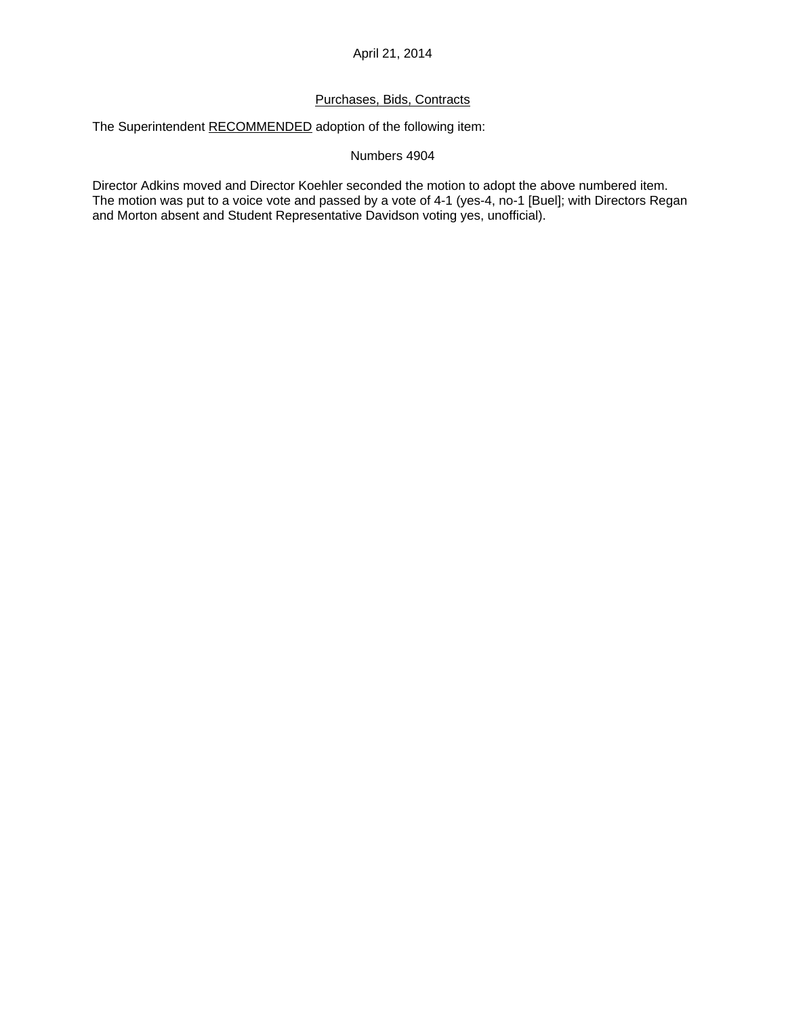# Purchases, Bids, Contracts

The Superintendent RECOMMENDED adoption of the following item:

### Numbers 4904

Director Adkins moved and Director Koehler seconded the motion to adopt the above numbered item. The motion was put to a voice vote and passed by a vote of 4-1 (yes-4, no-1 [Buel]; with Directors Regan and Morton absent and Student Representative Davidson voting yes, unofficial).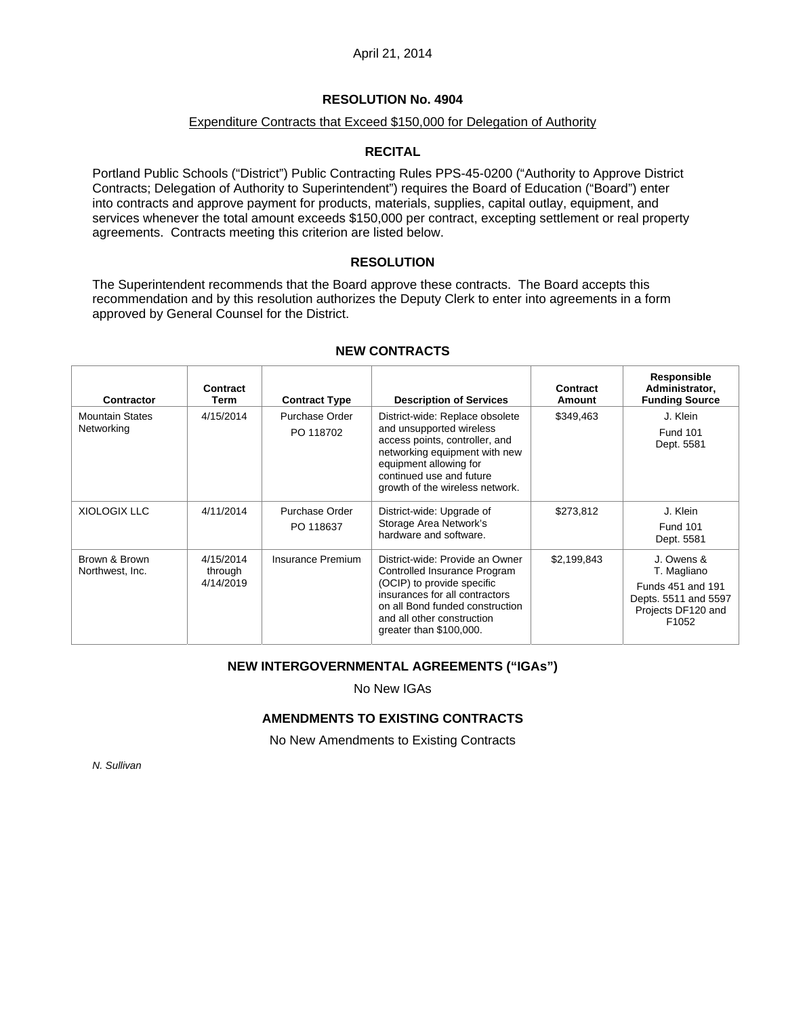# **RESOLUTION No. 4904**

# Expenditure Contracts that Exceed \$150,000 for Delegation of Authority

# **RECITAL**

Portland Public Schools ("District") Public Contracting Rules PPS-45-0200 ("Authority to Approve District Contracts; Delegation of Authority to Superintendent") requires the Board of Education ("Board") enter into contracts and approve payment for products, materials, supplies, capital outlay, equipment, and services whenever the total amount exceeds \$150,000 per contract, excepting settlement or real property agreements. Contracts meeting this criterion are listed below.

# **RESOLUTION**

The Superintendent recommends that the Board approve these contracts. The Board accepts this recommendation and by this resolution authorizes the Deputy Clerk to enter into agreements in a form approved by General Counsel for the District.

| Contractor                           | Contract<br>Term                  | <b>Contract Type</b>        | <b>Description of Services</b>                                                                                                                                                                                              | Contract<br><b>Amount</b> | Responsible<br>Administrator,<br><b>Funding Source</b>                                                |
|--------------------------------------|-----------------------------------|-----------------------------|-----------------------------------------------------------------------------------------------------------------------------------------------------------------------------------------------------------------------------|---------------------------|-------------------------------------------------------------------------------------------------------|
| <b>Mountain States</b><br>Networking | 4/15/2014                         | Purchase Order<br>PO 118702 | District-wide: Replace obsolete<br>and unsupported wireless<br>access points, controller, and<br>networking equipment with new<br>equipment allowing for<br>continued use and future<br>growth of the wireless network.     | \$349,463                 | J. Klein<br><b>Fund 101</b><br>Dept. 5581                                                             |
| XIOLOGIX LLC                         | 4/11/2014                         | Purchase Order<br>PO 118637 | District-wide: Upgrade of<br>Storage Area Network's<br>hardware and software.                                                                                                                                               | \$273,812                 | J. Klein<br><b>Fund 101</b><br>Dept. 5581                                                             |
| Brown & Brown<br>Northwest, Inc.     | 4/15/2014<br>through<br>4/14/2019 | Insurance Premium           | District-wide: Provide an Owner<br>Controlled Insurance Program<br>(OCIP) to provide specific<br>insurances for all contractors<br>on all Bond funded construction<br>and all other construction<br>greater than \$100,000. | \$2,199,843               | J. Owens &<br>T. Magliano<br>Funds 451 and 191<br>Depts. 5511 and 5597<br>Projects DF120 and<br>F1052 |

# **NEW CONTRACTS**

# **NEW INTERGOVERNMENTAL AGREEMENTS ("IGAs")**

No New IGAs

# **AMENDMENTS TO EXISTING CONTRACTS**

No New Amendments to Existing Contracts

*N. Sullivan*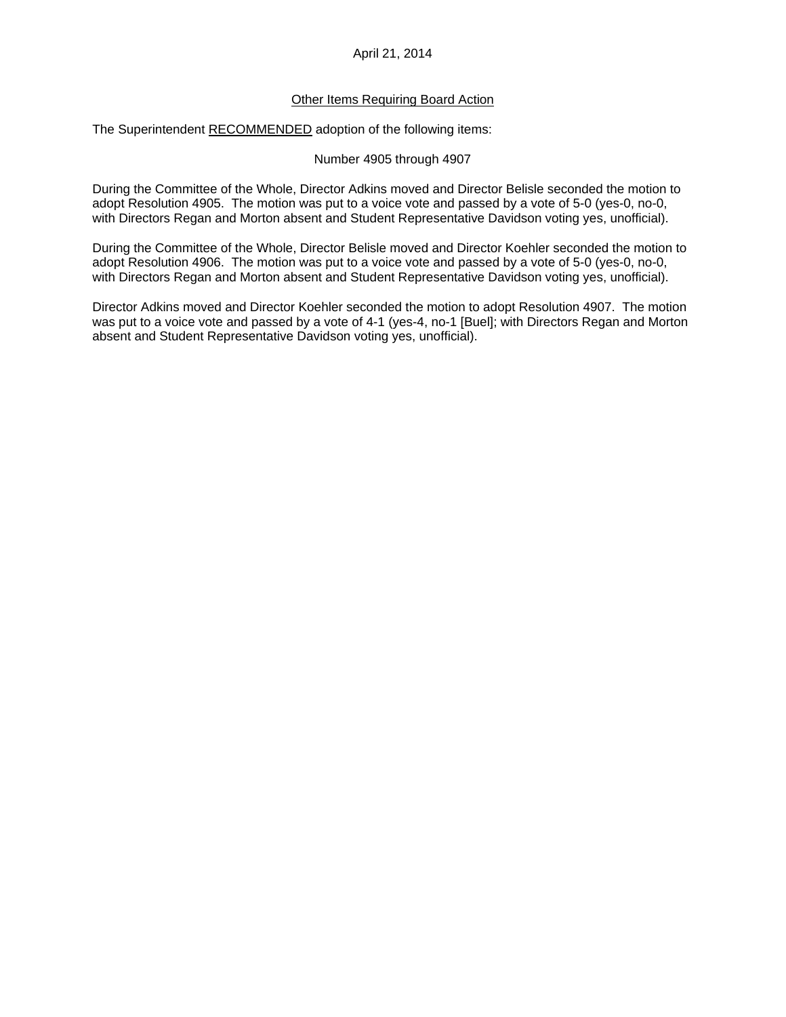### Other Items Requiring Board Action

The Superintendent RECOMMENDED adoption of the following items:

#### Number 4905 through 4907

During the Committee of the Whole, Director Adkins moved and Director Belisle seconded the motion to adopt Resolution 4905. The motion was put to a voice vote and passed by a vote of 5-0 (yes-0, no-0, with Directors Regan and Morton absent and Student Representative Davidson voting yes, unofficial).

During the Committee of the Whole, Director Belisle moved and Director Koehler seconded the motion to adopt Resolution 4906. The motion was put to a voice vote and passed by a vote of 5-0 (yes-0, no-0, with Directors Regan and Morton absent and Student Representative Davidson voting yes, unofficial).

Director Adkins moved and Director Koehler seconded the motion to adopt Resolution 4907. The motion was put to a voice vote and passed by a vote of 4-1 (yes-4, no-1 [Buel]; with Directors Regan and Morton absent and Student Representative Davidson voting yes, unofficial).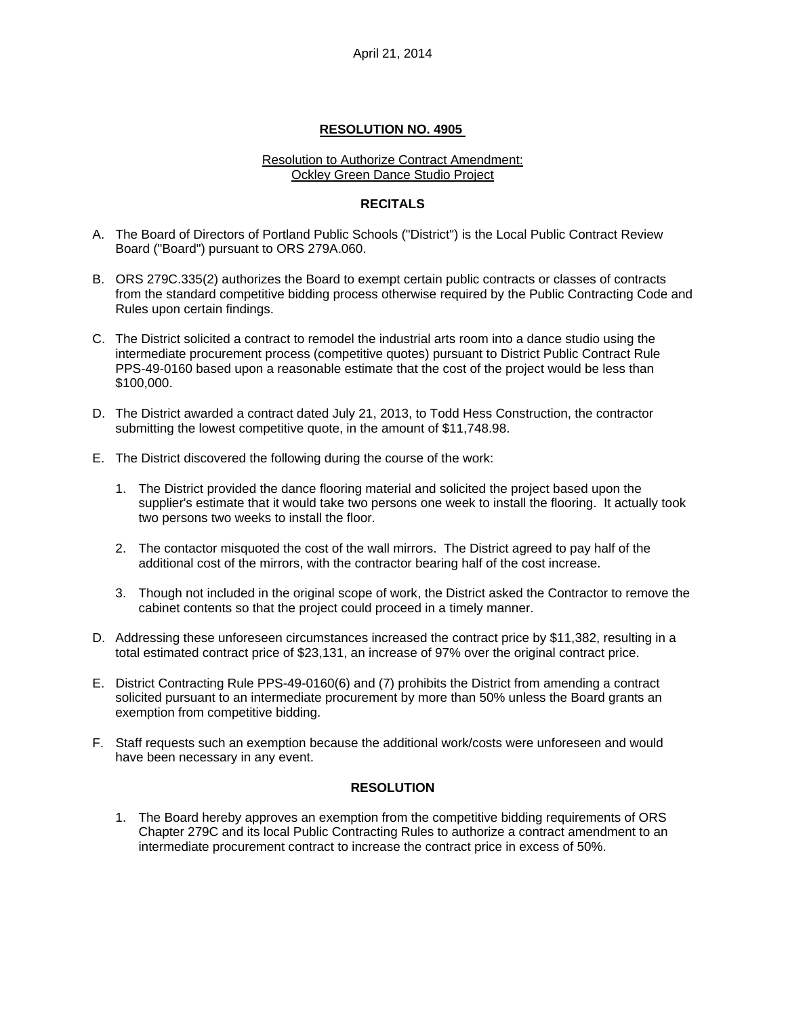### **RESOLUTION NO. 4905**

#### Resolution to Authorize Contract Amendment: Ockley Green Dance Studio Project

## **RECITALS**

- A. The Board of Directors of Portland Public Schools ("District") is the Local Public Contract Review Board ("Board") pursuant to ORS 279A.060.
- B. ORS 279C.335(2) authorizes the Board to exempt certain public contracts or classes of contracts from the standard competitive bidding process otherwise required by the Public Contracting Code and Rules upon certain findings.
- C. The District solicited a contract to remodel the industrial arts room into a dance studio using the intermediate procurement process (competitive quotes) pursuant to District Public Contract Rule PPS-49-0160 based upon a reasonable estimate that the cost of the project would be less than \$100,000.
- D. The District awarded a contract dated July 21, 2013, to Todd Hess Construction, the contractor submitting the lowest competitive quote, in the amount of \$11,748.98.
- E. The District discovered the following during the course of the work:
	- 1. The District provided the dance flooring material and solicited the project based upon the supplier's estimate that it would take two persons one week to install the flooring. It actually took two persons two weeks to install the floor.
	- 2. The contactor misquoted the cost of the wall mirrors. The District agreed to pay half of the additional cost of the mirrors, with the contractor bearing half of the cost increase.
	- 3. Though not included in the original scope of work, the District asked the Contractor to remove the cabinet contents so that the project could proceed in a timely manner.
- D. Addressing these unforeseen circumstances increased the contract price by \$11,382, resulting in a total estimated contract price of \$23,131, an increase of 97% over the original contract price.
- E. District Contracting Rule PPS-49-0160(6) and (7) prohibits the District from amending a contract solicited pursuant to an intermediate procurement by more than 50% unless the Board grants an exemption from competitive bidding.
- F. Staff requests such an exemption because the additional work/costs were unforeseen and would have been necessary in any event.

# **RESOLUTION**

1. The Board hereby approves an exemption from the competitive bidding requirements of ORS Chapter 279C and its local Public Contracting Rules to authorize a contract amendment to an intermediate procurement contract to increase the contract price in excess of 50%.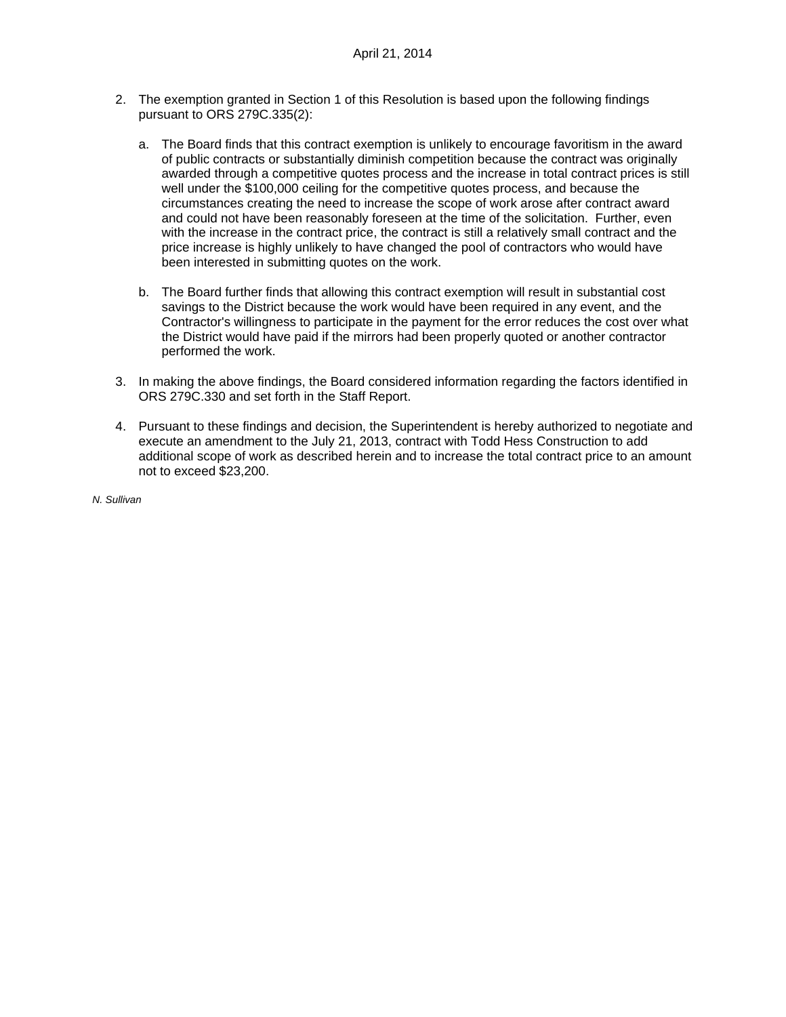- 2. The exemption granted in Section 1 of this Resolution is based upon the following findings pursuant to ORS 279C.335(2):
	- a. The Board finds that this contract exemption is unlikely to encourage favoritism in the award of public contracts or substantially diminish competition because the contract was originally awarded through a competitive quotes process and the increase in total contract prices is still well under the \$100,000 ceiling for the competitive quotes process, and because the circumstances creating the need to increase the scope of work arose after contract award and could not have been reasonably foreseen at the time of the solicitation. Further, even with the increase in the contract price, the contract is still a relatively small contract and the price increase is highly unlikely to have changed the pool of contractors who would have been interested in submitting quotes on the work.
	- b. The Board further finds that allowing this contract exemption will result in substantial cost savings to the District because the work would have been required in any event, and the Contractor's willingness to participate in the payment for the error reduces the cost over what the District would have paid if the mirrors had been properly quoted or another contractor performed the work.
- 3. In making the above findings, the Board considered information regarding the factors identified in ORS 279C.330 and set forth in the Staff Report.
- 4. Pursuant to these findings and decision, the Superintendent is hereby authorized to negotiate and execute an amendment to the July 21, 2013, contract with Todd Hess Construction to add additional scope of work as described herein and to increase the total contract price to an amount not to exceed \$23,200.

*N. Sullivan*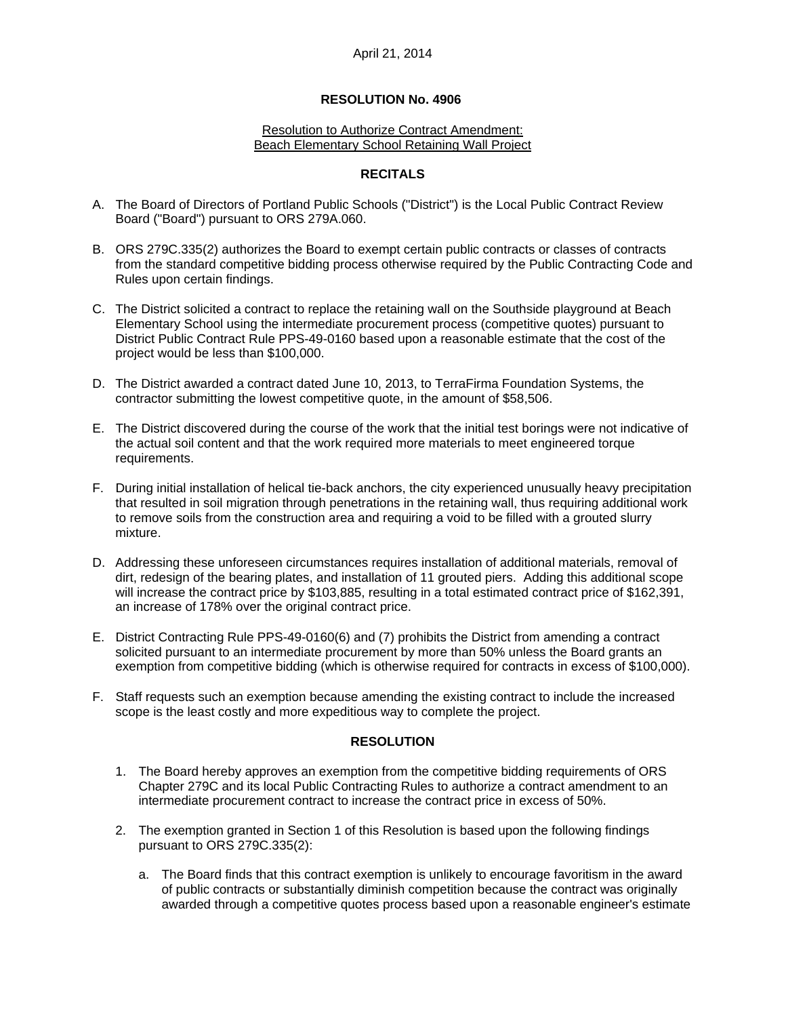### **RESOLUTION No. 4906**

#### Resolution to Authorize Contract Amendment: Beach Elementary School Retaining Wall Project

### **RECITALS**

- A. The Board of Directors of Portland Public Schools ("District") is the Local Public Contract Review Board ("Board") pursuant to ORS 279A.060.
- B. ORS 279C.335(2) authorizes the Board to exempt certain public contracts or classes of contracts from the standard competitive bidding process otherwise required by the Public Contracting Code and Rules upon certain findings.
- C. The District solicited a contract to replace the retaining wall on the Southside playground at Beach Elementary School using the intermediate procurement process (competitive quotes) pursuant to District Public Contract Rule PPS-49-0160 based upon a reasonable estimate that the cost of the project would be less than \$100,000.
- D. The District awarded a contract dated June 10, 2013, to TerraFirma Foundation Systems, the contractor submitting the lowest competitive quote, in the amount of \$58,506.
- E. The District discovered during the course of the work that the initial test borings were not indicative of the actual soil content and that the work required more materials to meet engineered torque requirements.
- F. During initial installation of helical tie-back anchors, the city experienced unusually heavy precipitation that resulted in soil migration through penetrations in the retaining wall, thus requiring additional work to remove soils from the construction area and requiring a void to be filled with a grouted slurry mixture.
- D. Addressing these unforeseen circumstances requires installation of additional materials, removal of dirt, redesign of the bearing plates, and installation of 11 grouted piers. Adding this additional scope will increase the contract price by \$103,885, resulting in a total estimated contract price of \$162,391, an increase of 178% over the original contract price.
- E. District Contracting Rule PPS-49-0160(6) and (7) prohibits the District from amending a contract solicited pursuant to an intermediate procurement by more than 50% unless the Board grants an exemption from competitive bidding (which is otherwise required for contracts in excess of \$100,000).
- F. Staff requests such an exemption because amending the existing contract to include the increased scope is the least costly and more expeditious way to complete the project.

# **RESOLUTION**

- 1. The Board hereby approves an exemption from the competitive bidding requirements of ORS Chapter 279C and its local Public Contracting Rules to authorize a contract amendment to an intermediate procurement contract to increase the contract price in excess of 50%.
- 2. The exemption granted in Section 1 of this Resolution is based upon the following findings pursuant to ORS 279C.335(2):
	- a. The Board finds that this contract exemption is unlikely to encourage favoritism in the award of public contracts or substantially diminish competition because the contract was originally awarded through a competitive quotes process based upon a reasonable engineer's estimate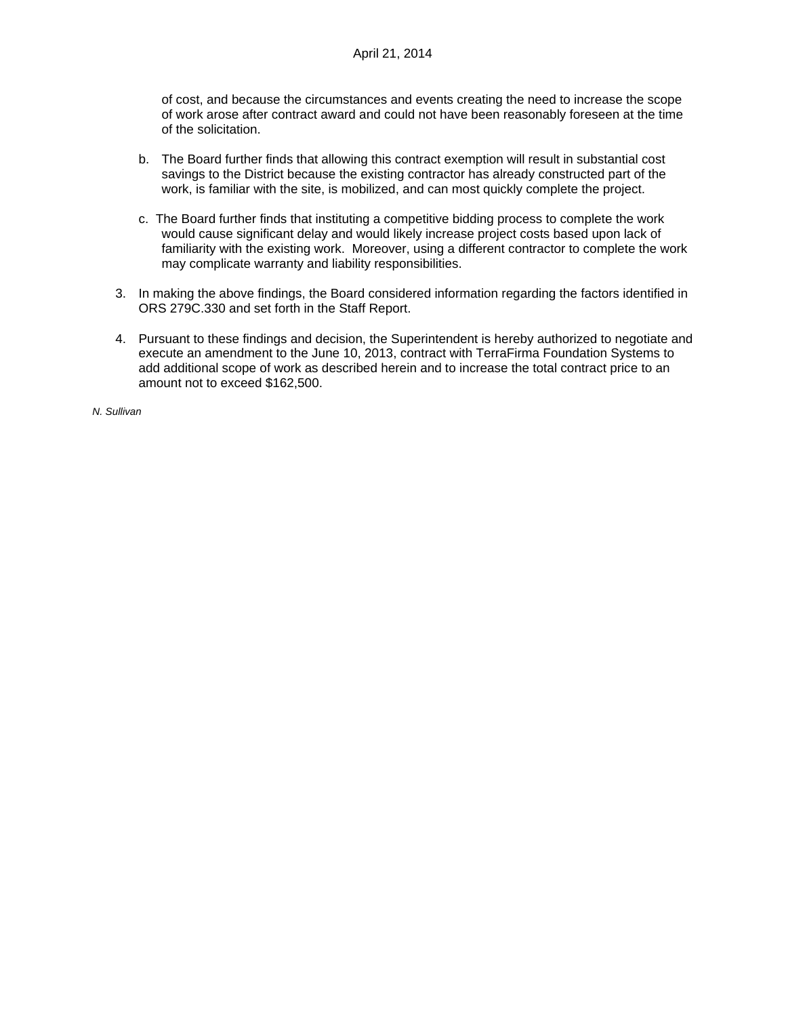of cost, and because the circumstances and events creating the need to increase the scope of work arose after contract award and could not have been reasonably foreseen at the time of the solicitation.

- b. The Board further finds that allowing this contract exemption will result in substantial cost savings to the District because the existing contractor has already constructed part of the work, is familiar with the site, is mobilized, and can most quickly complete the project.
- c. The Board further finds that instituting a competitive bidding process to complete the work would cause significant delay and would likely increase project costs based upon lack of familiarity with the existing work. Moreover, using a different contractor to complete the work may complicate warranty and liability responsibilities.
- 3. In making the above findings, the Board considered information regarding the factors identified in ORS 279C.330 and set forth in the Staff Report.
- 4. Pursuant to these findings and decision, the Superintendent is hereby authorized to negotiate and execute an amendment to the June 10, 2013, contract with TerraFirma Foundation Systems to add additional scope of work as described herein and to increase the total contract price to an amount not to exceed \$162,500.

*N. Sullivan*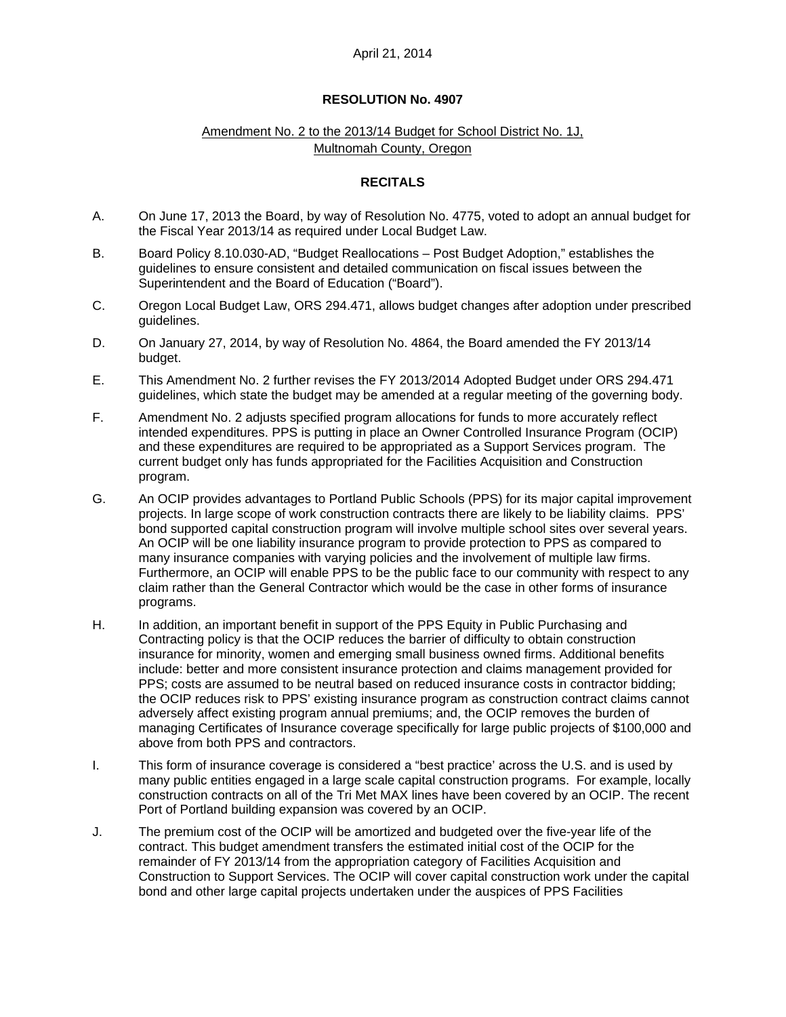# **RESOLUTION No. 4907**

# Amendment No. 2 to the 2013/14 Budget for School District No. 1J, Multnomah County, Oregon

## **RECITALS**

- A. On June 17, 2013 the Board, by way of Resolution No. 4775, voted to adopt an annual budget for the Fiscal Year 2013/14 as required under Local Budget Law.
- B. Board Policy 8.10.030-AD, "Budget Reallocations Post Budget Adoption," establishes the guidelines to ensure consistent and detailed communication on fiscal issues between the Superintendent and the Board of Education ("Board").
- C. Oregon Local Budget Law, ORS 294.471, allows budget changes after adoption under prescribed guidelines.
- D. On January 27, 2014, by way of Resolution No. 4864, the Board amended the FY 2013/14 budget.
- E. This Amendment No. 2 further revises the FY 2013/2014 Adopted Budget under ORS 294.471 guidelines, which state the budget may be amended at a regular meeting of the governing body.
- F. Amendment No. 2 adjusts specified program allocations for funds to more accurately reflect intended expenditures. PPS is putting in place an Owner Controlled Insurance Program (OCIP) and these expenditures are required to be appropriated as a Support Services program. The current budget only has funds appropriated for the Facilities Acquisition and Construction program.
- G. An OCIP provides advantages to Portland Public Schools (PPS) for its major capital improvement projects. In large scope of work construction contracts there are likely to be liability claims. PPS' bond supported capital construction program will involve multiple school sites over several years. An OCIP will be one liability insurance program to provide protection to PPS as compared to many insurance companies with varying policies and the involvement of multiple law firms. Furthermore, an OCIP will enable PPS to be the public face to our community with respect to any claim rather than the General Contractor which would be the case in other forms of insurance programs.
- H. In addition, an important benefit in support of the PPS Equity in Public Purchasing and Contracting policy is that the OCIP reduces the barrier of difficulty to obtain construction insurance for minority, women and emerging small business owned firms. Additional benefits include: better and more consistent insurance protection and claims management provided for PPS; costs are assumed to be neutral based on reduced insurance costs in contractor bidding; the OCIP reduces risk to PPS' existing insurance program as construction contract claims cannot adversely affect existing program annual premiums; and, the OCIP removes the burden of managing Certificates of Insurance coverage specifically for large public projects of \$100,000 and above from both PPS and contractors.
- I. This form of insurance coverage is considered a "best practice' across the U.S. and is used by many public entities engaged in a large scale capital construction programs. For example, locally construction contracts on all of the Tri Met MAX lines have been covered by an OCIP. The recent Port of Portland building expansion was covered by an OCIP.
- J. The premium cost of the OCIP will be amortized and budgeted over the five-year life of the contract. This budget amendment transfers the estimated initial cost of the OCIP for the remainder of FY 2013/14 from the appropriation category of Facilities Acquisition and Construction to Support Services. The OCIP will cover capital construction work under the capital bond and other large capital projects undertaken under the auspices of PPS Facilities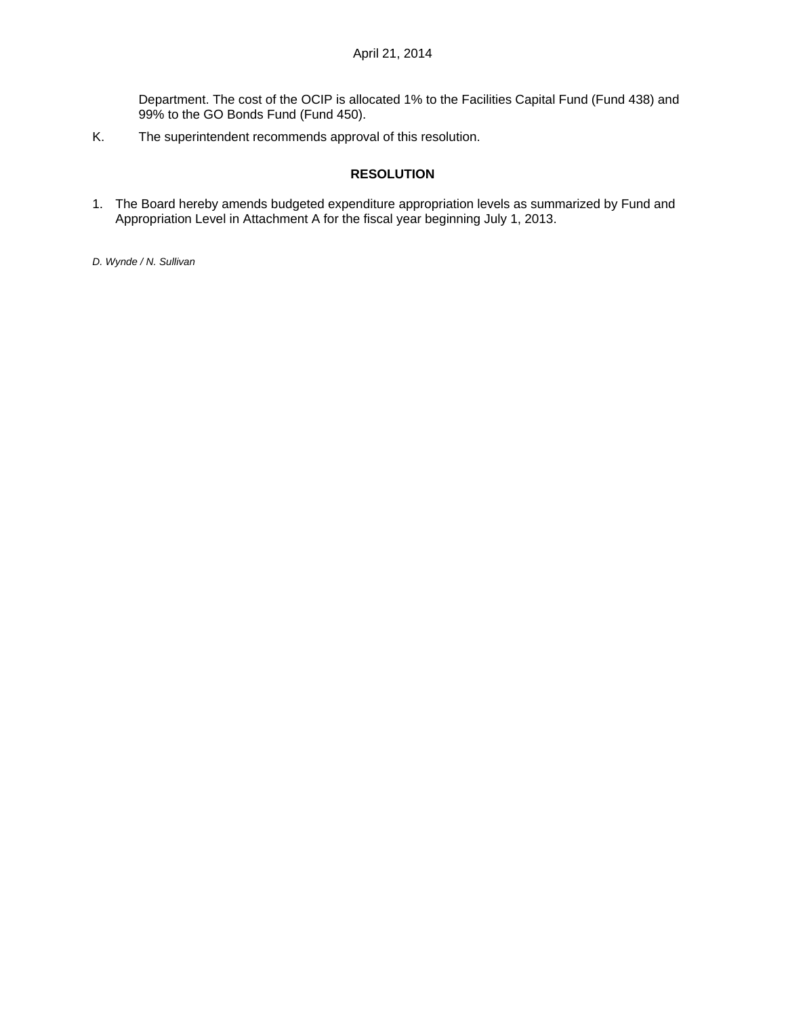Department. The cost of the OCIP is allocated 1% to the Facilities Capital Fund (Fund 438) and 99% to the GO Bonds Fund (Fund 450).

K. The superintendent recommends approval of this resolution.

# **RESOLUTION**

1. The Board hereby amends budgeted expenditure appropriation levels as summarized by Fund and Appropriation Level in Attachment A for the fiscal year beginning July 1, 2013.

*D. Wynde / N. Sullivan*